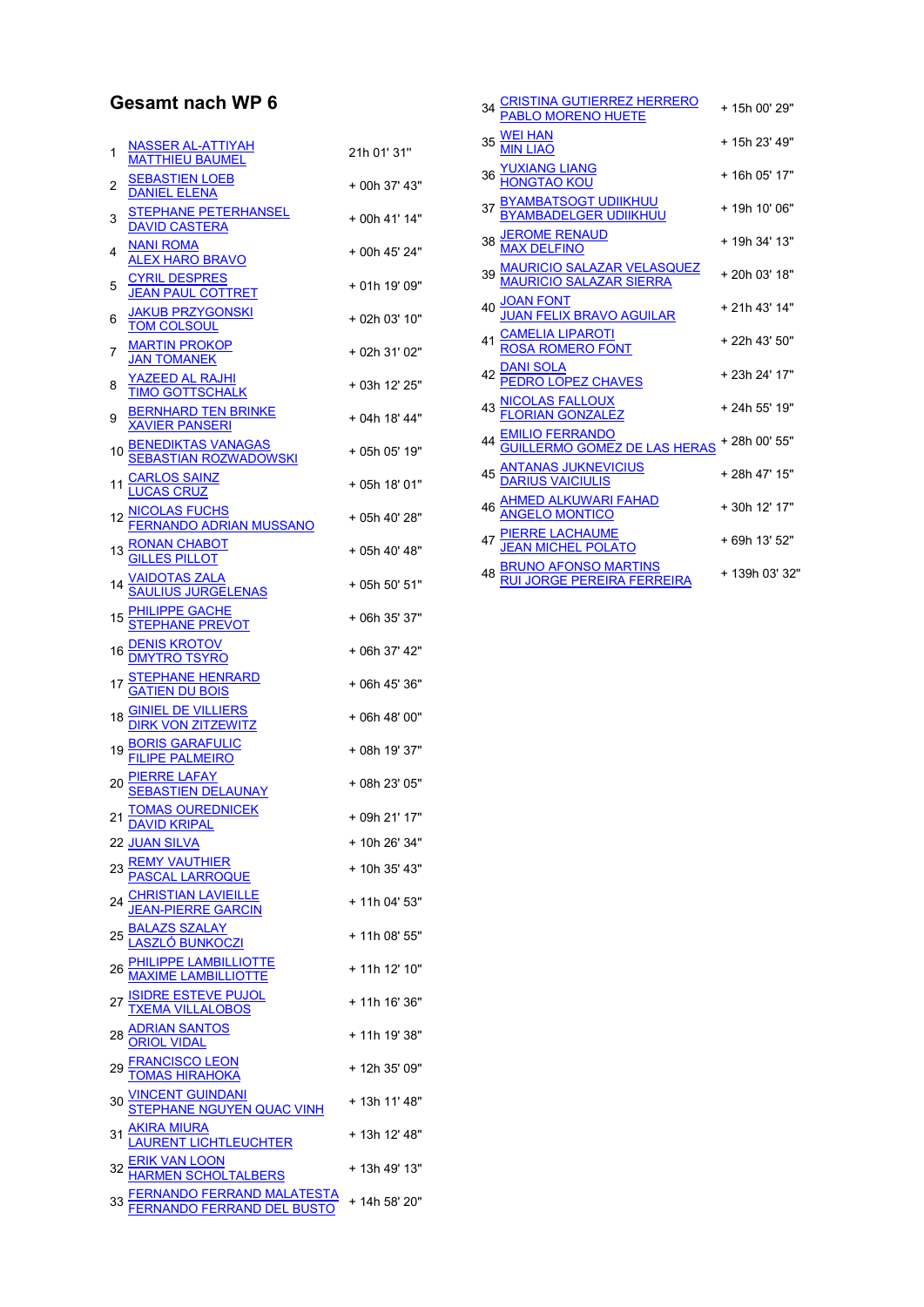## Gesamt nach WP 6

| 1  | <u>NASSER AL-ATTIYAH</u><br>MATTHIEU BAUMEL                                                                                              | 21h 01' 31"   |
|----|------------------------------------------------------------------------------------------------------------------------------------------|---------------|
| 2  | <b>SEBASTIEN LOEB</b><br><b>DANIEL ELENA</b>                                                                                             | + 00h 37' 43" |
| 3  | STEPHANE PETERHANSEL<br><b>DAVID CASTERA</b>                                                                                             | + 00h 41' 14" |
| 4  | NANI ROMA<br><b>ALEX HARO BRAVO</b>                                                                                                      | + 00h 45' 24" |
| 5  | <b>CYRIL DESPRES</b><br>JEAN PAUL COTTRET                                                                                                | + 01h 19' 09" |
| 6  | <b>JAKUB PRZYGONSKI</b><br><b>TOM COLSOUL</b>                                                                                            | + 02h 03' 10" |
| 7  | <b>MARTIN PROKOP</b><br>JAN TOMANEK                                                                                                      | + 02h 31' 02" |
| 8  | <u>YAZEED AL RAJHI</u><br><b>TIMO GOTTSCHALK</b>                                                                                         | + 03h 12' 25" |
| 9  | BERNHARD TEN BRINKE<br>XAVIER PANSERI                                                                                                    | + 04h 18' 44" |
| 10 | <b>BENEDIKTAS VANAGAS</b><br><b>SEBASTIAN ROZWADOWSKI</b>                                                                                | + 05h 05' 19" |
| 11 | <u>ARLOS SAINZ</u><br>JCAS CRUZ                                                                                                          | + 05h 18' 01" |
| 12 | <u>NICOLAS FUCHS</u><br><u>FERNANDO ADRIAN MUSSANO</u>                                                                                   | + 05h 40' 28" |
|    | 13 <b>RONAN CHABOT</b><br>GILLES PILLOT                                                                                                  | + 05h 40' 48" |
| 14 | <u>/AIDOTAS ZALA</u><br>SAULIUS JURGELENAS                                                                                               | + 05h 50' 51" |
| 15 | <u>PHILIPPE GACHE</u><br>STEPHANE PREVOT                                                                                                 | + 06h 35' 37" |
| 16 | <u>DENIS KROTOV</u><br>DMYTRO TSYRO                                                                                                      | + 06h 37' 42" |
|    | 17 STEPHANE HENRARD<br>GATIEN DU BOIS                                                                                                    | + 06h 45' 36" |
| 18 |                                                                                                                                          | + 06h 48' 00" |
| 19 | <u>BORIS GARAFULIC</u><br>FILIPE PALMEIRO                                                                                                | + 08h 19' 37" |
| 20 | <u>PIERRE LAFAY</u><br>SEBASTIEN DELAUNAY                                                                                                | + 08h 23' 05" |
| 21 | <u>TOMAS OUREDNICEK</u><br><b>DAVID KRIPAL</b>                                                                                           | + 09h 21' 17" |
|    | 22 JUAN SILVA                                                                                                                            | + 10h 26' 34" |
|    | 23 REMY VAUTHIER<br>PASCAL LARROQUE                                                                                                      | + 10h 35' 43" |
|    | 24 <u>CHRISTIAN LAVIEILLE</u><br><u>JEAN-PIERRE GARCIN</u>                                                                               | + 11h 04' 53" |
| 25 | <u>BALAZS SZALAY</u><br>LASZLÓ BUNKOCZI                                                                                                  | + 11h 08' 55" |
|    | 26 MAXIME LAMBILLIOTTE<br>MAXIME LAMBILLIOTTE<br>27 <u>ISIDRE ESTEVE PUJOL</u><br><u>TXEMA VILLALOBOS</u><br>28 <u>ADRIAN SANTOS</u>     | + 11h 12' 10" |
|    |                                                                                                                                          | + 11h 16' 36" |
|    |                                                                                                                                          | + 11h 19' 38" |
| 29 | <b>FRANCISCO LEON<br/>TOMAS HIRAHOKA</b>                                                                                                 | + 12h 35' 09" |
|    | 30 <u>VINCENT GUINDANI</u><br>STEPHANE NGUYEN QUAC VINH                                                                                  | + 13h 11' 48" |
| 31 |                                                                                                                                          | + 13h 12' 48" |
|    |                                                                                                                                          | + 13h 49' 13" |
| 33 | AKIRA MIURA<br>LAURENT LICHTLEUCHTER<br>ERIK VAN LOON<br>HARMEN SCHOLTALBERS<br>FERNANDO FERRAND MALATESTA<br>FERNANDO FERRAND DEL BUSTO | + 14h 58' 20" |

| 34 CRISTINA GUTIERREZ HERRERO<br>PABLO MORENO HUETE                 | + 15h 00' 29"  |
|---------------------------------------------------------------------|----------------|
| <b>WELHAN</b><br>MIN LIAO                                           | + 15h 23' 49"  |
| <b>36 YUXIANG LIANG</b><br>HONGTAO KOU                              | + 16h 05' 17"  |
| <u>BYAMBATSOGT UDIIKHUU</u><br><u>BYAMBADELGER UDIIKHUU</u>         | + 19h 10' 06"  |
| 38 <u>JEROME RENAUD</u><br><u>MAX DELFINO</u>                       | + 19h 34' 13"  |
| <u>MAURICIO SALAZAR VELASQUEZ</u><br><u>MAURICIO SALAZAR SIERRA</u> | +20h 03' 18"   |
| 40 <u>JOAN FONT</u><br>J <u>UAN FELIX BRAVO AGUILAR</u>             | + 21h 43' 14"  |
| <u>CAMELIA LIPAROTI</u><br>ROSA ROMERO FONT                         | + 22h 43' 50"  |
| 42 DANI SOLA<br>PEDRO LOPEZ CHAVES                                  | + 23h 24' 17"  |
| <u>NICOLAS FALLOUX</u><br><u>FLORIAN GONZALEZ</u><br>43             | + 24h 55' 19"  |
| 44 EMILIO FERRANDO<br>GUILLERMO GOMEZ DE LAS HERAS                  | +28h 00' 55"   |
| <u>ANTANAS JUKNEVICIUS</u><br><u>DARIUS VAICIULIS</u><br>45         | + 28h 47' 15"  |
| 46 <u>AHMED ALKUWARI FAHAD</u><br><u>ANGELO MONTICO</u>             | + 30h 12' 17"  |
| 47 PIERRE LACHAUME<br><u>JEAN MICHEL POLATO</u>                     | + 69h 13' 52"  |
| <b>BRUNO AFONSO MARTINS<br/>RUI JORGE PEREIRA FERREIRA</b><br>48    | + 139h 03' 32" |